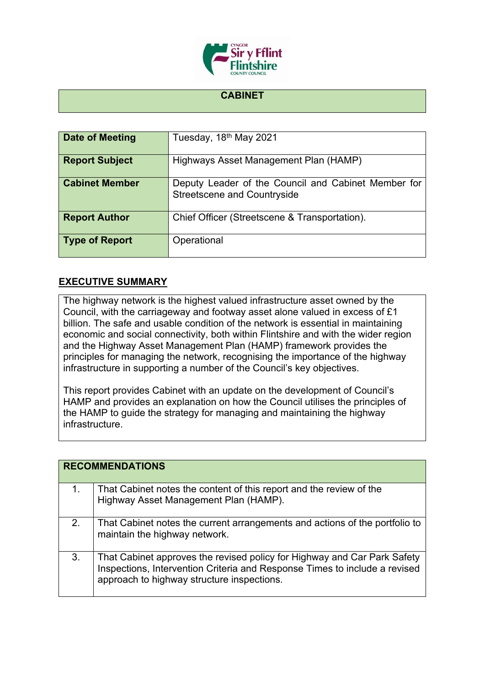

## **CABINET**

| Date of Meeting       | Tuesday, 18 <sup>th</sup> May 2021                                                        |
|-----------------------|-------------------------------------------------------------------------------------------|
| <b>Report Subject</b> | Highways Asset Management Plan (HAMP)                                                     |
| <b>Cabinet Member</b> | Deputy Leader of the Council and Cabinet Member for<br><b>Streetscene and Countryside</b> |
| <b>Report Author</b>  | Chief Officer (Streetscene & Transportation).                                             |
| <b>Type of Report</b> | Operational                                                                               |

## **EXECUTIVE SUMMARY**

The highway network is the highest valued infrastructure asset owned by the Council, with the carriageway and footway asset alone valued in excess of £1 billion. The safe and usable condition of the network is essential in maintaining economic and social connectivity, both within Flintshire and with the wider region and the Highway Asset Management Plan (HAMP) framework provides the principles for managing the network, recognising the importance of the highway infrastructure in supporting a number of the Council's key objectives.

This report provides Cabinet with an update on the development of Council's HAMP and provides an explanation on how the Council utilises the principles of the HAMP to guide the strategy for managing and maintaining the highway infrastructure.

|    | <b>RECOMMENDATIONS</b>                                                                                                                                                                               |  |
|----|------------------------------------------------------------------------------------------------------------------------------------------------------------------------------------------------------|--|
| 1. | That Cabinet notes the content of this report and the review of the<br>Highway Asset Management Plan (HAMP).                                                                                         |  |
| 2. | That Cabinet notes the current arrangements and actions of the portfolio to<br>maintain the highway network.                                                                                         |  |
| 3. | That Cabinet approves the revised policy for Highway and Car Park Safety<br>Inspections, Intervention Criteria and Response Times to include a revised<br>approach to highway structure inspections. |  |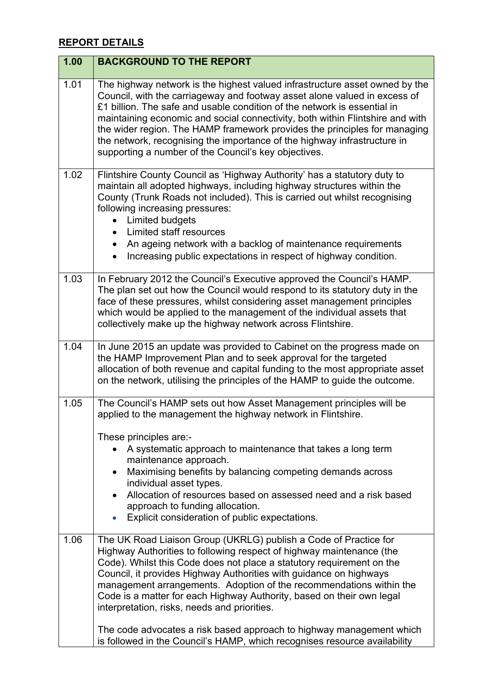## **REPORT DETAILS**

| 1.00 | <b>BACKGROUND TO THE REPORT</b>                                                                                                                                                                                                                                                                                                                                                                                                                                                                                                                                 |
|------|-----------------------------------------------------------------------------------------------------------------------------------------------------------------------------------------------------------------------------------------------------------------------------------------------------------------------------------------------------------------------------------------------------------------------------------------------------------------------------------------------------------------------------------------------------------------|
| 1.01 | The highway network is the highest valued infrastructure asset owned by the<br>Council, with the carriageway and footway asset alone valued in excess of<br>£1 billion. The safe and usable condition of the network is essential in<br>maintaining economic and social connectivity, both within Flintshire and with<br>the wider region. The HAMP framework provides the principles for managing<br>the network, recognising the importance of the highway infrastructure in<br>supporting a number of the Council's key objectives.                          |
| 1.02 | Flintshire County Council as 'Highway Authority' has a statutory duty to<br>maintain all adopted highways, including highway structures within the<br>County (Trunk Roads not included). This is carried out whilst recognising<br>following increasing pressures:<br><b>Limited budgets</b><br>Limited staff resources<br>An ageing network with a backlog of maintenance requirements<br>Increasing public expectations in respect of highway condition.                                                                                                      |
| 1.03 | In February 2012 the Council's Executive approved the Council's HAMP.<br>The plan set out how the Council would respond to its statutory duty in the<br>face of these pressures, whilst considering asset management principles<br>which would be applied to the management of the individual assets that<br>collectively make up the highway network across Flintshire.                                                                                                                                                                                        |
| 1.04 | In June 2015 an update was provided to Cabinet on the progress made on<br>the HAMP Improvement Plan and to seek approval for the targeted<br>allocation of both revenue and capital funding to the most appropriate asset<br>on the network, utilising the principles of the HAMP to guide the outcome.                                                                                                                                                                                                                                                         |
| 1.05 | The Council's HAMP sets out how Asset Management principles will be<br>applied to the management the highway network in Flintshire.<br>These principles are:-<br>A systematic approach to maintenance that takes a long term<br>maintenance approach.<br>Maximising benefits by balancing competing demands across<br>individual asset types.<br>Allocation of resources based on assessed need and a risk based<br>approach to funding allocation.<br>Explicit consideration of public expectations.                                                           |
| 1.06 | The UK Road Liaison Group (UKRLG) publish a Code of Practice for<br>Highway Authorities to following respect of highway maintenance (the<br>Code). Whilst this Code does not place a statutory requirement on the<br>Council, it provides Highway Authorities with guidance on highways<br>management arrangements. Adoption of the recommendations within the<br>Code is a matter for each Highway Authority, based on their own legal<br>interpretation, risks, needs and priorities.<br>The code advocates a risk based approach to highway management which |
|      | is followed in the Council's HAMP, which recognises resource availability                                                                                                                                                                                                                                                                                                                                                                                                                                                                                       |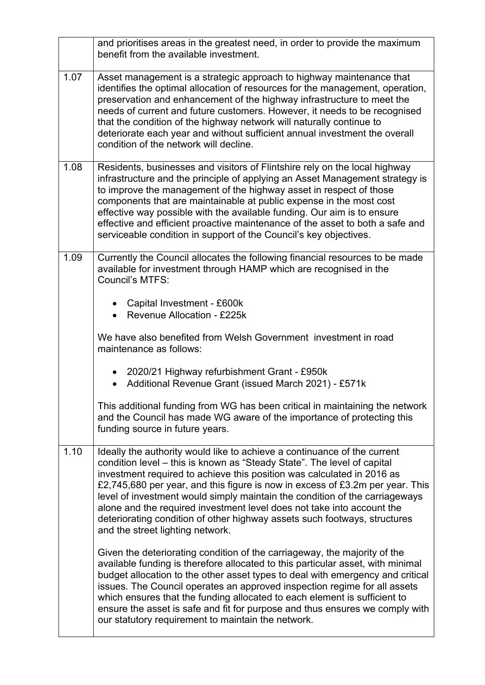|      | and prioritises areas in the greatest need, in order to provide the maximum<br>benefit from the available investment.                                                                                                                                                                                                                                                                                                                                                                                                                                                                    |
|------|------------------------------------------------------------------------------------------------------------------------------------------------------------------------------------------------------------------------------------------------------------------------------------------------------------------------------------------------------------------------------------------------------------------------------------------------------------------------------------------------------------------------------------------------------------------------------------------|
| 1.07 | Asset management is a strategic approach to highway maintenance that<br>identifies the optimal allocation of resources for the management, operation,<br>preservation and enhancement of the highway infrastructure to meet the<br>needs of current and future customers. However, it needs to be recognised<br>that the condition of the highway network will naturally continue to<br>deteriorate each year and without sufficient annual investment the overall<br>condition of the network will decline.                                                                             |
| 1.08 | Residents, businesses and visitors of Flintshire rely on the local highway<br>infrastructure and the principle of applying an Asset Management strategy is<br>to improve the management of the highway asset in respect of those<br>components that are maintainable at public expense in the most cost<br>effective way possible with the available funding. Our aim is to ensure<br>effective and efficient proactive maintenance of the asset to both a safe and<br>serviceable condition in support of the Council's key objectives.                                                 |
| 1.09 | Currently the Council allocates the following financial resources to be made<br>available for investment through HAMP which are recognised in the<br>Council's MTFS:                                                                                                                                                                                                                                                                                                                                                                                                                     |
|      | • Capital Investment - £600k<br><b>Revenue Allocation - £225k</b>                                                                                                                                                                                                                                                                                                                                                                                                                                                                                                                        |
|      | We have also benefited from Welsh Government investment in road<br>maintenance as follows:                                                                                                                                                                                                                                                                                                                                                                                                                                                                                               |
|      | • 2020/21 Highway refurbishment Grant - £950k<br>Additional Revenue Grant (issued March 2021) - £571k                                                                                                                                                                                                                                                                                                                                                                                                                                                                                    |
|      | This additional funding from WG has been critical in maintaining the network<br>and the Council has made WG aware of the importance of protecting this<br>funding source in future years.                                                                                                                                                                                                                                                                                                                                                                                                |
| 1.10 | Ideally the authority would like to achieve a continuance of the current<br>condition level – this is known as "Steady State". The level of capital<br>investment required to achieve this position was calculated in 2016 as<br>£2,745,680 per year, and this figure is now in excess of £3.2m per year. This<br>level of investment would simply maintain the condition of the carriageways<br>alone and the required investment level does not take into account the<br>deteriorating condition of other highway assets such footways, structures<br>and the street lighting network. |
|      | Given the deteriorating condition of the carriageway, the majority of the<br>available funding is therefore allocated to this particular asset, with minimal<br>budget allocation to the other asset types to deal with emergency and critical<br>issues. The Council operates an approved inspection regime for all assets<br>which ensures that the funding allocated to each element is sufficient to<br>ensure the asset is safe and fit for purpose and thus ensures we comply with<br>our statutory requirement to maintain the network.                                           |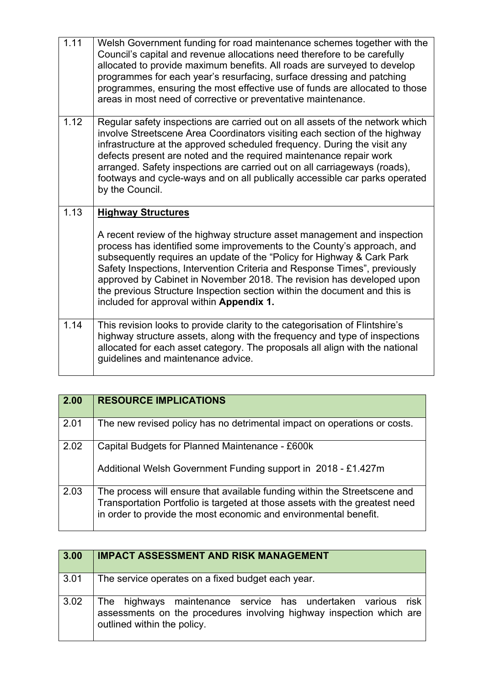| 1.11 | Welsh Government funding for road maintenance schemes together with the<br>Council's capital and revenue allocations need therefore to be carefully<br>allocated to provide maximum benefits. All roads are surveyed to develop<br>programmes for each year's resurfacing, surface dressing and patching<br>programmes, ensuring the most effective use of funds are allocated to those<br>areas in most need of corrective or preventative maintenance.                                                    |
|------|-------------------------------------------------------------------------------------------------------------------------------------------------------------------------------------------------------------------------------------------------------------------------------------------------------------------------------------------------------------------------------------------------------------------------------------------------------------------------------------------------------------|
| 1.12 | Regular safety inspections are carried out on all assets of the network which<br>involve Streetscene Area Coordinators visiting each section of the highway<br>infrastructure at the approved scheduled frequency. During the visit any<br>defects present are noted and the required maintenance repair work<br>arranged. Safety inspections are carried out on all carriageways (roads),<br>footways and cycle-ways and on all publically accessible car parks operated<br>by the Council.                |
| 1.13 | <b>Highway Structures</b>                                                                                                                                                                                                                                                                                                                                                                                                                                                                                   |
|      | A recent review of the highway structure asset management and inspection<br>process has identified some improvements to the County's approach, and<br>subsequently requires an update of the "Policy for Highway & Cark Park<br>Safety Inspections, Intervention Criteria and Response Times", previously<br>approved by Cabinet in November 2018. The revision has developed upon<br>the previous Structure Inspection section within the document and this is<br>included for approval within Appendix 1. |
| 1.14 | This revision looks to provide clarity to the categorisation of Flintshire's<br>highway structure assets, along with the frequency and type of inspections<br>allocated for each asset category. The proposals all align with the national<br>guidelines and maintenance advice.                                                                                                                                                                                                                            |

| 2.00 | <b>RESOURCE IMPLICATIONS</b>                                                                                                                                                                                                 |
|------|------------------------------------------------------------------------------------------------------------------------------------------------------------------------------------------------------------------------------|
| 2.01 | The new revised policy has no detrimental impact on operations or costs.                                                                                                                                                     |
| 2.02 | Capital Budgets for Planned Maintenance - £600k<br>Additional Welsh Government Funding support in 2018 - £1.427m                                                                                                             |
| 2.03 | The process will ensure that available funding within the Streetscene and<br>Transportation Portfolio is targeted at those assets with the greatest need<br>in order to provide the most economic and environmental benefit. |

| 3.00               | <b>IMPACT ASSESSMENT AND RISK MANAGEMENT</b>                                                                                                                           |
|--------------------|------------------------------------------------------------------------------------------------------------------------------------------------------------------------|
| $\vert 3.01 \vert$ | The service operates on a fixed budget each year.                                                                                                                      |
| 3.02               | risk<br>The highways maintenance service has undertaken various<br>assessments on the procedures involving highway inspection which are<br>outlined within the policy. |